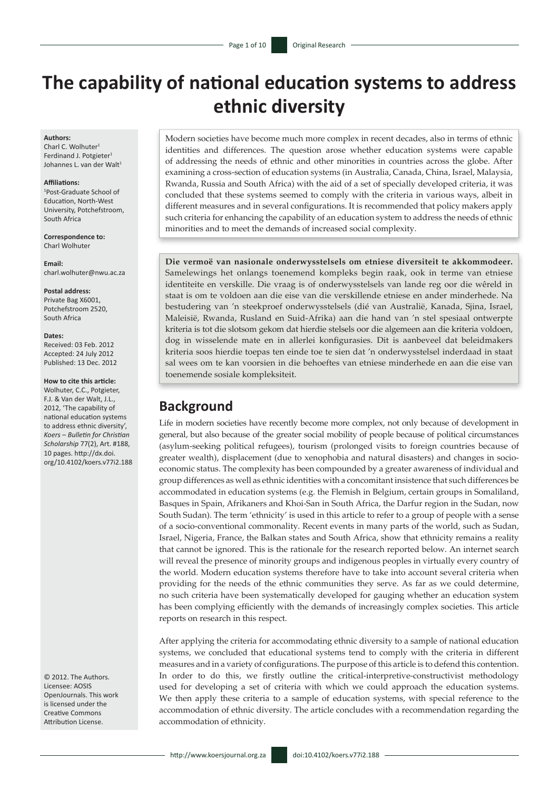# **The capability of national education systems to address ethnic diversity**

#### **Authors:**

Charl C. Wolhuter<sup>1</sup> Ferdinand J. Potgieter<sup>1</sup> Johannes L. van der Walt<sup>1</sup>

#### **Affiliations:**

1 Post-Graduate School of Education, North-West University, Potchefstroom, South Africa

**Correspondence to:** Charl Wolhuter

**Email:** [charl.wolhuter@nwu.ac.za](mailto:charl.wolhuter@nwu.ac.za)

**Postal address:** Private Bag X6001, Potchefstroom 2520,

#### **Dates:**

South Africa

Received: 03 Feb. 2012 Accepted: 24 July 2012 Published: 13 Dec. 2012

#### **How to cite this article:**

Wolhuter, C.C., Potgieter, F.J. & Van der Walt, J.L., 2012, 'The capability of national education systems to address ethnic diversity', *Koers – Bulletin for Christian Scholarship* 77(2), Art. #188, 10 pages. [http://dx.doi.](http://dx.doi.org/10.4102/koers.v77i2.188) [org/10.4102/koers.v77i2.188](http://dx.doi.org/10.4102/koers.v77i2.188)

© 2012. The Authors. Licensee: AOSIS OpenJournals. This work is licensed under the Creative Commons Attribution License.

Modern societies have become much more complex in recent decades, also in terms of ethnic identities and differences. The question arose whether education systems were capable of addressing the needs of ethnic and other minorities in countries across the globe. After examining a cross-section of education systems (in Australia, Canada, China, Israel, Malaysia, Rwanda, Russia and South Africa) with the aid of a set of specially developed criteria, it was concluded that these systems seemed to comply with the criteria in various ways, albeit in different measures and in several configurations. It is recommended that policy makers apply such criteria for enhancing the capability of an education system to address the needs of ethnic minorities and to meet the demands of increased social complexity.

**Die vermoë van nasionale onderwysstelsels om etniese diversiteit te akkommodeer.**  Samelewings het onlangs toenemend kompleks begin raak, ook in terme van etniese identiteite en verskille. Die vraag is of onderwysstelsels van lande reg oor die wêreld in staat is om te voldoen aan die eise van die verskillende etniese en ander minderhede. Na bestudering van 'n steekproef onderwysstelsels (dié van Australië, Kanada, Sjina, Israel, Maleisië, Rwanda, Rusland en Suid-Afrika) aan die hand van 'n stel spesiaal ontwerpte kriteria is tot die slotsom gekom dat hierdie stelsels oor die algemeen aan die kriteria voldoen, dog in wisselende mate en in allerlei konfigurasies. Dit is aanbeveel dat beleidmakers kriteria soos hierdie toepas ten einde toe te sien dat 'n onderwysstelsel inderdaad in staat sal wees om te kan voorsien in die behoeftes van etniese minderhede en aan die eise van toenemende sosiale kompleksiteit.

# **Background**

Life in modern societies have recently become more complex, not only because of development in general, but also because of the greater social mobility of people because of political circumstances (asylum-seeking political refugees), tourism (prolonged visits to foreign countries because of greater wealth), displacement (due to xenophobia and natural disasters) and changes in socioeconomic status. The complexity has been compounded by a greater awareness of individual and group differences as well as ethnic identities with a concomitant insistence that such differences be accommodated in education systems (e.g. the Flemish in Belgium, certain groups in Somaliland, Basques in Spain, Afrikaners and Khoi-San in South Africa, the Darfur region in the Sudan, now South Sudan). The term 'ethnicity' is used in this article to refer to a group of people with a sense of a socio-conventional commonality. Recent events in many parts of the world, such as Sudan, Israel, Nigeria, France, the Balkan states and South Africa, show that ethnicity remains a reality that cannot be ignored. This is the rationale for the research reported below. An internet search will reveal the presence of minority groups and indigenous peoples in virtually every country of the world. Modern education systems therefore have to take into account several criteria when providing for the needs of the ethnic communities they serve. As far as we could determine, no such criteria have been systematically developed for gauging whether an education system has been complying efficiently with the demands of increasingly complex societies. This article reports on research in this respect.

After applying the criteria for accommodating ethnic diversity to a sample of national education systems, we concluded that educational systems tend to comply with the criteria in different measures and in a variety of configurations. The purpose of this article is to defend this contention. In order to do this, we firstly outline the critical-interpretive-constructivist methodology used for developing a set of criteria with which we could approach the education systems. We then apply these criteria to a sample of education systems, with special reference to the accommodation of ethnic diversity. The article concludes with a recommendation regarding the accommodation of ethnicity.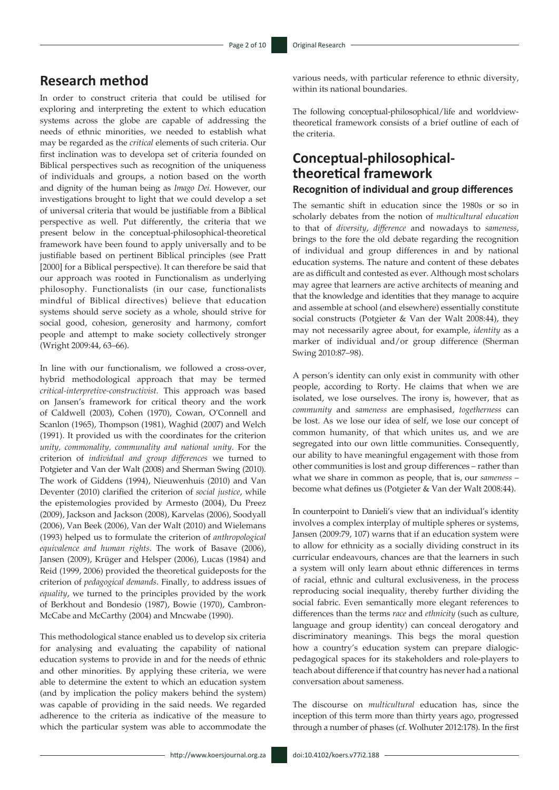# **Research method**

In order to construct criteria that could be utilised for exploring and interpreting the extent to which education systems across the globe are capable of addressing the needs of ethnic minorities, we needed to establish what may be regarded as the *critical* elements of such criteria. Our first inclination was to developa set of criteria founded on Biblical perspectives such as recognition of the uniqueness of individuals and groups, a notion based on the worth and dignity of the human being as *Imago Dei*. However, our investigations brought to light that we could develop a set of universal criteria that would be justifiable from a Biblical perspective as well. Put differently, the criteria that we present below in the conceptual-philosophical-theoretical framework have been found to apply universally and to be justifiable based on pertinent Biblical principles (see Pratt [2000] for a Biblical perspective). It can therefore be said that our approach was rooted in Functionalism as underlying philosophy. Functionalists (in our case, functionalists mindful of Biblical directives) believe that education systems should serve society as a whole, should strive for social good, cohesion, generosity and harmony, comfort people and attempt to make society collectively stronger (Wright 2009:44, 63–66).

In line with our functionalism, we followed a cross-over, hybrid methodological approach that may be termed *critical-interpretive-constructivist.* This approach was based on Jansen's framework for critical theory and the work of Caldwell (2003), Cohen (1970), Cowan, O'Connell and Scanlon (1965), Thompson (1981), Waghid (2007) and Welch (1991). It provided us with the coordinates for the criterion *unity, commonality, communality and national unity*. For the criterion of *individual and group differences* we turned to Potgieter and Van der Walt (2008) and Sherman Swing (2010). The work of Giddens (1994), Nieuwenhuis (2010) and Van Deventer (2010) clarified the criterion of *social justice*, while the epistemologies provided by Armesto (2004), Du Preez (2009), Jackson and Jackson (2008), Karvelas (2006), Soodyall (2006), Van Beek (2006), Van der Walt (2010) and Wielemans (1993) helped us to formulate the criterion of *anthropological equivalence and human rights*. The work of Basave (2006), Jansen (2009), Krüger and Helsper (2006), Lucas (1984) and Reid (1999, 2006) provided the theoretical guideposts for the criterion of *pedagogical demands*. Finally, to address issues of *equality*, we turned to the principles provided by the work of Berkhout and Bondesio (1987), Bowie (1970), Cambron-McCabe and McCarthy (2004) and Mncwabe (1990).

This methodological stance enabled us to develop six criteria for analysing and evaluating the capability of national education systems to provide in and for the needs of ethnic and other minorities. By applying these criteria, we were able to determine the extent to which an education system (and by implication the policy makers behind the system) was capable of providing in the said needs. We regarded adherence to the criteria as indicative of the measure to which the particular system was able to accommodate the

various needs, with particular reference to ethnic diversity, within its national boundaries.

The following conceptual-philosophical/life and worldviewtheoretical framework consists of a brief outline of each of the criteria.

# **Conceptual-philosophicaltheoretical framework**

#### **Recognition of individual and group differences**

The semantic shift in education since the 1980s or so in scholarly debates from the notion of *multicultural education* to that of *diversity*, *difference* and nowadays to *sameness*, brings to the fore the old debate regarding the recognition of individual and group differences in and by national education systems. The nature and content of these debates are as difficult and contested as ever. Although most scholars may agree that learners are active architects of meaning and that the knowledge and identities that they manage to acquire and assemble at school (and elsewhere) essentially constitute social constructs (Potgieter & Van der Walt 2008:44), they may not necessarily agree about, for example, *identity* as a marker of individual and/or group difference (Sherman Swing 2010:87–98).

A person's identity can only exist in community with other people, according to Rorty. He claims that when we are isolated, we lose ourselves. The irony is, however, that as *community* and *sameness* are emphasised, *togetherness* can be lost. As we lose our idea of self, we lose our concept of common humanity, of that which unites us, and we are segregated into our own little communities. Consequently, our ability to have meaningful engagement with those from other communities is lost and group differences – rather than what we share in common as people, that is, our *sameness* – become what defines us (Potgieter & Van der Walt 2008:44).

In counterpoint to Danieli's view that an individual's identity involves a complex interplay of multiple spheres or systems, Jansen (2009:79, 107) warns that if an education system were to allow for ethnicity as a socially dividing construct in its curricular endeavours, chances are that the learners in such a system will only learn about ethnic differences in terms of racial, ethnic and cultural exclusiveness, in the process reproducing social inequality, thereby further dividing the social fabric. Even semantically more elegant references to differences than the terms *race* and *ethnicity* (such as culture, language and group identity) can conceal derogatory and discriminatory meanings. This begs the moral question how a country's education system can prepare dialogicpedagogical spaces for its stakeholders and role-players to teach about difference if that country has never had a national conversation about sameness.

The discourse on *multicultural* education has, since the inception of this term more than thirty years ago, progressed through a number of phases (cf. Wolhuter 2012:178). In the first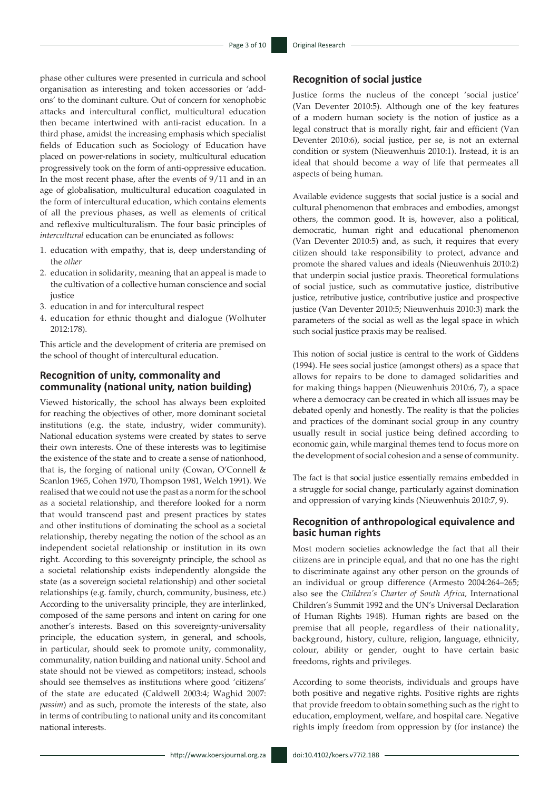phase other cultures were presented in curricula and school organisation as interesting and token accessories or 'addons' to the dominant culture. Out of concern for xenophobic attacks and intercultural conflict, multicultural education then became intertwined with anti-racist education. In a third phase, amidst the increasing emphasis which specialist fields of Education such as Sociology of Education have placed on power-relations in society, multicultural education progressively took on the form of anti-oppressive education. In the most recent phase, after the events of 9/11 and in an age of globalisation, multicultural education coagulated in the form of intercultural education, which contains elements of all the previous phases, as well as elements of critical and reflexive multiculturalism. The four basic principles of *intercultural* education can be enunciated as follows:

- 1. education with empathy, that is, deep understanding of the *other*
- 2. education in solidarity, meaning that an appeal is made to the cultivation of a collective human conscience and social iustice
- 3. education in and for intercultural respect
- 4. education for ethnic thought and dialogue (Wolhuter 2012:178).

This article and the development of criteria are premised on the school of thought of intercultural education.

#### **Recognition of unity, commonality and communality (national unity, nation building)**

Viewed historically, the school has always been exploited for reaching the objectives of other, more dominant societal institutions (e.g. the state, industry, wider community). National education systems were created by states to serve their own interests. One of these interests was to legitimise the existence of the state and to create a sense of nationhood, that is, the forging of national unity (Cowan, O'Connell & Scanlon 1965, Cohen 1970, Thompson 1981, Welch 1991). We realised that we could not use the past as a norm for the school as a societal relationship, and therefore looked for a norm that would transcend past and present practices by states and other institutions of dominating the school as a societal relationship, thereby negating the notion of the school as an independent societal relationship or institution in its own right. According to this sovereignty principle, the school as a societal relationship exists independently alongside the state (as a sovereign societal relationship) and other societal relationships (e.g. family, church, community, business, etc.) According to the universality principle, they are interlinked, composed of the same persons and intent on caring for one another's interests. Based on this sovereignty-universality principle, the education system, in general, and schools, in particular, should seek to promote unity, commonality, communality, nation building and national unity. School and state should not be viewed as competitors; instead, schools should see themselves as institutions where good 'citizens' of the state are educated (Caldwell 2003:4; Waghid 2007: *passim*) and as such, promote the interests of the state, also in terms of contributing to national unity and its concomitant national interests.

#### **Recognition of social justice**

Justice forms the nucleus of the concept 'social justice' (Van Deventer 2010:5). Although one of the key features of a modern human society is the notion of justice as a legal construct that is morally right, fair and efficient (Van Deventer 2010:6), social justice, per se, is not an external condition or system (Nieuwenhuis 2010:1). Instead, it is an ideal that should become a way of life that permeates all aspects of being human.

Available evidence suggests that social justice is a social and cultural phenomenon that embraces and embodies, amongst others, the common good. It is, however, also a political, democratic, human right and educational phenomenon (Van Deventer 2010:5) and, as such, it requires that every citizen should take responsibility to protect, advance and promote the shared values and ideals (Nieuwenhuis 2010:2) that underpin social justice praxis. Theoretical formulations of social justice, such as commutative justice, distributive justice, retributive justice, contributive justice and prospective justice (Van Deventer 2010:5; Nieuwenhuis 2010:3) mark the parameters of the social as well as the legal space in which such social justice praxis may be realised.

This notion of social justice is central to the work of Giddens (1994). He sees social justice (amongst others) as a space that allows for repairs to be done to damaged solidarities and for making things happen (Nieuwenhuis 2010:6, 7), a space where a democracy can be created in which all issues may be debated openly and honestly. The reality is that the policies and practices of the dominant social group in any country usually result in social justice being defined according to economic gain, while marginal themes tend to focus more on the development of social cohesion and a sense of community.

The fact is that social justice essentially remains embedded in a struggle for social change, particularly against domination and oppression of varying kinds (Nieuwenhuis 2010:7, 9).

#### **Recognition of anthropological equivalence and basic human rights**

Most modern societies acknowledge the fact that all their citizens are in principle equal, and that no one has the right to discriminate against any other person on the grounds of an individual or group difference (Armesto 2004:264–265; also see the *Children's Charter of South Africa,* International Children's Summit 1992 and the UN's Universal Declaration of Human Rights 1948). Human rights are based on the premise that all people, regardless of their nationality, background, history, culture, religion, language, ethnicity, colour, ability or gender, ought to have certain basic freedoms, rights and privileges.

According to some theorists, individuals and groups have both positive and negative rights. Positive rights are rights that provide freedom to obtain something such as the right to education, employment, welfare, and hospital care. Negative rights imply freedom from oppression by (for instance) the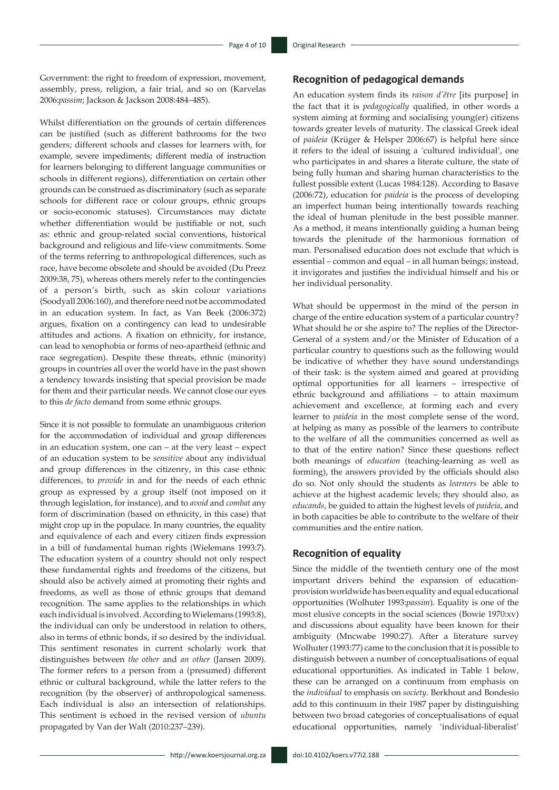Government: the right to freedom of expression, movement, assembly, press, religion, a fair trial, and so on (Karvelas 2006:*passim*; Jackson & Jackson 2008:484–485).

Whilst differentiation on the grounds of certain differences can be justified (such as different bathrooms for the two genders; different schools and classes for learners with, for example, severe impediments; different media of instruction for learners belonging to different language communities or schools in different regions), differentiation on certain other grounds can be construed as discriminatory (such as separate schools for different race or colour groups, ethnic groups or socio-economic statuses). Circumstances may dictate whether differentiation would be justifiable or not, such as: ethnic and group-related social conventions, historical background and religious and life-view commitments. Some of the terms referring to anthropological differences, such as race, have become obsolete and should be avoided (Du Preez 2009:38, 75), whereas others merely refer to the contingencies of a person's birth, such as skin colour variations (Soodyall 2006:160), and therefore need not be accommodated in an education system. In fact, as Van Beek (2006:372) argues, fixation on a contingency can lead to undesirable attitudes and actions. A fixation on ethnicity, for instance, can lead to xenophobia or forms of neo-apartheid (ethnic and race segregation). Despite these threats, ethnic (minority) groups in countries all over the world have in the past shown a tendency towards insisting that special provision be made for them and their particular needs. We cannot close our eyes to this *de facto* demand from some ethnic groups.

Since it is not possible to formulate an unambiguous criterion for the accommodation of individual and group differences in an education system, one can – at the very least – expect of an education system to be *sensitive* about any individual and group differences in the citizenry, in this case ethnic differences, to *provide* in and for the needs of each ethnic group as expressed by a group itself (not imposed on it through legislation, for instance), and to *avoid* and *combat* any form of discrimination (based on ethnicity, in this case) that might crop up in the populace. In many countries, the equality and equivalence of each and every citizen finds expression in a bill of fundamental human rights (Wielemans 1993:7). The education system of a country should not only respect these fundamental rights and freedoms of the citizens, but should also be actively aimed at promoting their rights and freedoms, as well as those of ethnic groups that demand recognition. The same applies to the relationships in which each individual is involved. According to Wielemans (1993:8), the individual can only be understood in relation to others, also in terms of ethnic bonds, if so desired by the individual. This sentiment resonates in current scholarly work that distinguishes between *the other* and *an other* (Jansen 2009). The former refers to a person from a (presumed) different ethnic or cultural background, while the latter refers to the recognition (by the observer) of anthropological sameness. Each individual is also an intersection of relationships. This sentiment is echoed in the revised version of *ubuntu* propagated by Van der Walt (2010:237–239).

#### **Recognition of pedagogical demands**

An education system finds its *raison d'être* [its purpose] in the fact that it is *pedagogically* qualified, in other words a system aiming at forming and socialising young(er) citizens towards greater levels of maturity. The classical Greek ideal of *paideia* (Krüger & Helsper 2006:67) is helpful here since it refers to the ideal of issuing a 'cultured individual', one who participates in and shares a literate culture, the state of being fully human and sharing human characteristics to the fullest possible extent (Lucas 1984:128). According to Basave (2006:72), education for *paideia* is the process of developing an imperfect human being intentionally towards reaching the ideal of human plenitude in the best possible manner. As a method, it means intentionally guiding a human being towards the plenitude of the harmonious formation of man. Personalised education does not exclude that which is essential – common and equal – in all human beings; instead, it invigorates and justifies the individual himself and his or her individual personality.

What should be uppermost in the mind of the person in charge of the entire education system of a particular country? What should he or she aspire to? The replies of the Director-General of a system and/or the Minister of Education of a particular country to questions such as the following would be indicative of whether they have sound understandings of their task: is the system aimed and geared at providing optimal opportunities for all learners – irrespective of ethnic background and affiliations – to attain maximum achievement and excellence, at forming each and every learner to *paideia* in the most complete sense of the word, at helping as many as possible of the learners to contribute to the welfare of all the communities concerned as well as to that of the entire nation? Since these questions reflect both meanings of *education* (teaching-learning as well as forming), the answers provided by the officials should also do so. Not only should the students as *learners* be able to achieve at the highest academic levels; they should also, as *educands*, be guided to attain the highest levels of *paideia*, and in both capacities be able to contribute to the welfare of their communities and the entire nation.

#### **Recognition of equality**

Since the middle of the twentieth century one of the most important drivers behind the expansion of educationprovision worldwide has been equality and equal educational opportunities (Wolhuter 1993:*passim*). Equality is one of the most elusive concepts in the social sciences (Bowie 1970:xv) and discussions about equality have been known for their ambiguity (Mncwabe 1990:27). After a literature survey Wolhuter (1993:77) came to the conclusion that it is possible to distinguish between a number of conceptualisations of equal educational opportunities. As indicated in Table 1 below, these can be arranged on a continuum from emphasis on the *individual* to emphasis on *society*. Berkhout and Bondesio add to this continuum in their 1987 paper by distinguishing between two broad categories of conceptualisations of equal educational opportunities, namely 'individual-liberalist'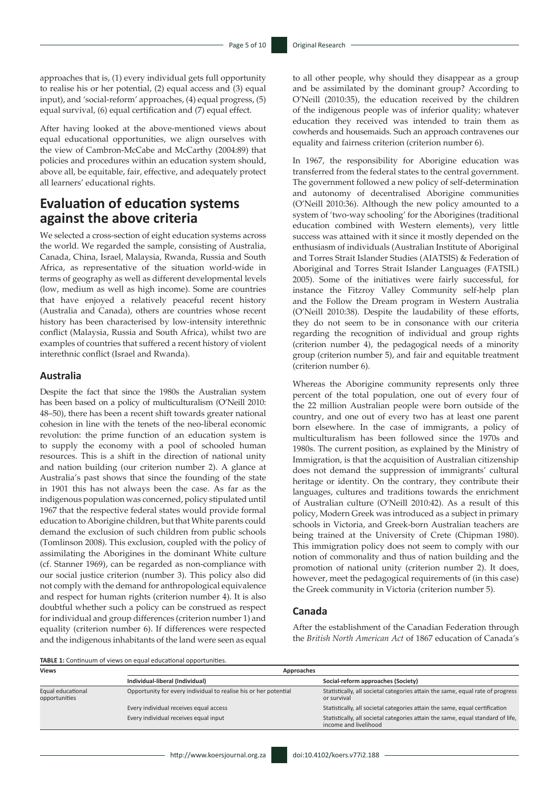approaches that is, (1) every individual gets full opportunity to realise his or her potential, (2) equal access and (3) equal input), and 'social-reform' approaches, (4) equal progress, (5) equal survival, (6) equal certification and (7) equal effect.

After having looked at the above-mentioned views about equal educational opportunities, we align ourselves with the view of Cambron-McCabe and McCarthy (2004:89) that policies and procedures within an education system should, above all, be equitable, fair, effective, and adequately protect all learners' educational rights.

# **Evaluation of education systems against the above criteria**

We selected a cross-section of eight education systems across the world. We regarded the sample, consisting of Australia, Canada, China, Israel, Malaysia, Rwanda, Russia and South Africa, as representative of the situation world-wide in terms of geography as well as different developmental levels (low, medium as well as high income). Some are countries that have enjoyed a relatively peaceful recent history (Australia and Canada), others are countries whose recent history has been characterised by low-intensity interethnic conflict (Malaysia, Russia and South Africa), whilst two are examples of countries that suffered a recent history of violent interethnic conflict (Israel and Rwanda).

#### **Australia**

Despite the fact that since the 1980s the Australian system has been based on a policy of multiculturalism (O'Neill 2010: 48–50), there has been a recent shift towards greater national cohesion in line with the tenets of the neo-liberal economic revolution: the prime function of an education system is to supply the economy with a pool of schooled human resources. This is a shift in the direction of national unity and nation building (our criterion number 2). A glance at Australia's past shows that since the founding of the state in 1901 this has not always been the case. As far as the indigenous population was concerned, policy stipulated until 1967 that the respective federal states would provide formal education to Aborigine children, but that White parents could demand the exclusion of such children from public schools (Tomlinson 2008). This exclusion, coupled with the policy of assimilating the Aborigines in the dominant White culture (cf. Stanner 1969), can be regarded as non-compliance with our social justice criterion (number 3). This policy also did not comply with the demand for anthropological equivalence and respect for human rights (criterion number 4). It is also doubtful whether such a policy can be construed as respect for individual and group differences (criterion number 1) and equality (criterion number 6). If differences were respected and the indigenous inhabitants of the land were seen as equal

to all other people, why should they disappear as a group and be assimilated by the dominant group? According to O'Neill (2010:35), the education received by the children of the indigenous people was of inferior quality; whatever education they received was intended to train them as cowherds and housemaids. Such an approach contravenes our equality and fairness criterion (criterion number 6).

In 1967, the responsibility for Aborigine education was transferred from the federal states to the central government. The government followed a new policy of self-determination and autonomy of decentralised Aborigine communities (O'Neill 2010:36). Although the new policy amounted to a system of 'two-way schooling' for the Aborigines (traditional education combined with Western elements), very little success was attained with it since it mostly depended on the enthusiasm of individuals (Australian Institute of Aboriginal and Torres Strait Islander Studies (AIATSIS) & Federation of Aboriginal and Torres Strait Islander Languages (FATSIL) 2005). Some of the initiatives were fairly successful, for instance the Fitzroy Valley Community self-help plan and the Follow the Dream program in Western Australia (O'Neill 2010:38). Despite the laudability of these efforts, they do not seem to be in consonance with our criteria regarding the recognition of individual and group rights (criterion number 4), the pedagogical needs of a minority group (criterion number 5), and fair and equitable treatment (criterion number 6).

Whereas the Aborigine community represents only three percent of the total population, one out of every four of the 22 million Australian people were born outside of the country, and one out of every two has at least one parent born elsewhere. In the case of immigrants, a policy of multiculturalism has been followed since the 1970s and 1980s. The current position, as explained by the Ministry of Immigration, is that the acquisition of Australian citizenship does not demand the suppression of immigrants' cultural heritage or identity. On the contrary, they contribute their languages, cultures and traditions towards the enrichment of Australian culture (O'Neill 2010:42). As a result of this policy, Modern Greek was introduced as a subject in primary schools in Victoria, and Greek-born Australian teachers are being trained at the University of Crete (Chipman 1980). This immigration policy does not seem to comply with our notion of commonality and thus of nation building and the promotion of national unity (criterion number 2). It does, however, meet the pedagogical requirements of (in this case) the Greek community in Victoria (criterion number 5).

#### **Canada**

After the establishment of the Canadian Federation through the *British North American Act* of 1867 education of Canada's

**TABLE 1:** Continuum of views on equal educational opportunities.

| <b>Views</b>                       | Approaches                                                       |                                                                                                          |
|------------------------------------|------------------------------------------------------------------|----------------------------------------------------------------------------------------------------------|
|                                    | Individual-liberal (Individual)                                  | Social-reform approaches (Society)                                                                       |
| Equal educational<br>opportunities | Opportunity for every individual to realise his or her potential | Statistically, all societal categories attain the same, equal rate of progress<br>or survival            |
|                                    | Every individual receives equal access                           | Statistically, all societal categories attain the same, equal certification                              |
|                                    | Every individual receives equal input                            | Statistically, all societal categories attain the same, equal standard of life,<br>income and livelihood |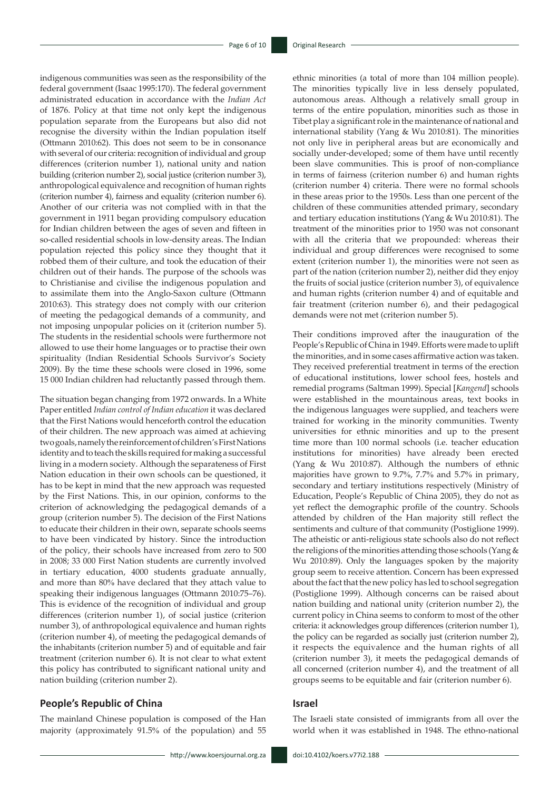indigenous communities was seen as the responsibility of the federal government (Isaac 1995:170). The federal government administrated education in accordance with the *Indian Act*  of 1876. Policy at that time not only kept the indigenous population separate from the Europeans but also did not recognise the diversity within the Indian population itself (Ottmann 2010:62). This does not seem to be in consonance with several of our criteria: recognition of individual and group differences (criterion number 1), national unity and nation building (criterion number 2), social justice (criterion number 3), anthropological equivalence and recognition of human rights (criterion number 4), fairness and equality (criterion number 6). Another of our criteria was not complied with in that the government in 1911 began providing compulsory education for Indian children between the ages of seven and fifteen in so-called residential schools in low-density areas. The Indian population rejected this policy since they thought that it robbed them of their culture, and took the education of their children out of their hands. The purpose of the schools was to Christianise and civilise the indigenous population and to assimilate them into the Anglo-Saxon culture (Ottmann 2010:63). This strategy does not comply with our criterion of meeting the pedagogical demands of a community, and not imposing unpopular policies on it (criterion number 5). The students in the residential schools were furthermore not allowed to use their home languages or to practise their own spirituality (Indian Residential Schools Survivor's Society 2009). By the time these schools were closed in 1996, some 15 000 Indian children had reluctantly passed through them.

The situation began changing from 1972 onwards. In a White Paper entitled *Indian control of Indian education* it was declared that the First Nations would henceforth control the education of their children. The new approach was aimed at achieving two goals, namely the reinforcement of children's First Nations identity and to teach the skills required for making a successful living in a modern society. Although the separateness of First Nation education in their own schools can be questioned, it has to be kept in mind that the new approach was requested by the First Nations. This, in our opinion, conforms to the criterion of acknowledging the pedagogical demands of a group (criterion number 5). The decision of the First Nations to educate their children in their own, separate schools seems to have been vindicated by history. Since the introduction of the policy, their schools have increased from zero to 500 in 2008; 33 000 First Nation students are currently involved in tertiary education, 4000 students graduate annually, and more than 80% have declared that they attach value to speaking their indigenous languages (Ottmann 2010:75–76). This is evidence of the recognition of individual and group differences (criterion number 1), of social justice (criterion number 3), of anthropological equivalence and human rights (criterion number 4), of meeting the pedagogical demands of the inhabitants (criterion number 5) and of equitable and fair treatment (criterion number 6). It is not clear to what extent this policy has contributed to significant national unity and nation building (criterion number 2).

#### **People's Republic of China**

The mainland Chinese population is composed of the Han majority (approximately 91.5% of the population) and 55 ethnic minorities (a total of more than 104 million people). The minorities typically live in less densely populated, autonomous areas. Although a relatively small group in terms of the entire population, minorities such as those in Tibet play a significant role in the maintenance of national and international stability (Yang & Wu 2010:81). The minorities not only live in peripheral areas but are economically and socially under-developed; some of them have until recently been slave communities. This is proof of non-compliance in terms of fairness (criterion number 6) and human rights (criterion number 4) criteria. There were no formal schools in these areas prior to the 1950s. Less than one percent of the children of these communities attended primary, secondary and tertiary education institutions (Yang & Wu 2010:81). The treatment of the minorities prior to 1950 was not consonant with all the criteria that we propounded: whereas their individual and group differences were recognised to some extent (criterion number 1), the minorities were not seen as part of the nation (criterion number 2), neither did they enjoy the fruits of social justice (criterion number 3), of equivalence and human rights (criterion number 4) and of equitable and fair treatment (criterion number 6), and their pedagogical demands were not met (criterion number 5).

Their conditions improved after the inauguration of the People's Republic of China in 1949. Efforts were made to uplift the minorities, and in some cases affirmative action was taken. They received preferential treatment in terms of the erection of educational institutions, lower school fees, hostels and remedial programs (Saltman 1999). Special [*Kangend*] schools were established in the mountainous areas, text books in the indigenous languages were supplied, and teachers were trained for working in the minority communities. Twenty universities for ethnic minorities and up to the present time more than 100 normal schools (i.e. teacher education institutions for minorities) have already been erected (Yang & Wu 2010:87). Although the numbers of ethnic majorities have grown to 9.7%, 7.7% and 5.7% in primary, secondary and tertiary institutions respectively (Ministry of Education, People's Republic of China 2005), they do not as yet reflect the demographic profile of the country. Schools attended by children of the Han majority still reflect the sentiments and culture of that community (Postiglione 1999). The atheistic or anti-religious state schools also do not reflect the religions of the minorities attending those schools (Yang & Wu 2010:89). Only the languages spoken by the majority group seem to receive attention. Concern has been expressed about the fact that the new policy has led to school segregation (Postiglione 1999). Although concerns can be raised about nation building and national unity (criterion number 2), the current policy in China seems to conform to most of the other criteria: it acknowledges group differences (criterion number 1), the policy can be regarded as socially just (criterion number 2), it respects the equivalence and the human rights of all (criterion number 3), it meets the pedagogical demands of all concerned (criterion number 4), and the treatment of all groups seems to be equitable and fair (criterion number 6).

#### **Israel**

The Israeli state consisted of immigrants from all over the world when it was established in 1948. The ethno-national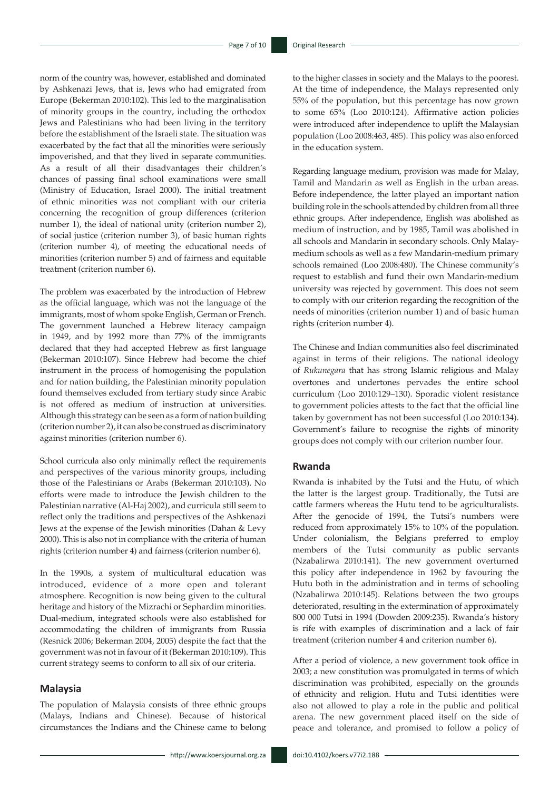norm of the country was, however, established and dominated by Ashkenazi Jews, that is, Jews who had emigrated from Europe (Bekerman 2010:102). This led to the marginalisation of minority groups in the country, including the orthodox Jews and Palestinians who had been living in the territory before the establishment of the Israeli state. The situation was exacerbated by the fact that all the minorities were seriously impoverished, and that they lived in separate communities. As a result of all their disadvantages their children's chances of passing final school examinations were small (Ministry of Education, Israel 2000). The initial treatment of ethnic minorities was not compliant with our criteria concerning the recognition of group differences (criterion number 1), the ideal of national unity (criterion number 2), of social justice (criterion number 3), of basic human rights (criterion number 4), of meeting the educational needs of minorities (criterion number 5) and of fairness and equitable treatment (criterion number 6).

The problem was exacerbated by the introduction of Hebrew as the official language, which was not the language of the immigrants, most of whom spoke English, German or French. The government launched a Hebrew literacy campaign in 1949, and by 1992 more than 77% of the immigrants declared that they had accepted Hebrew as first language (Bekerman 2010:107). Since Hebrew had become the chief instrument in the process of homogenising the population and for nation building, the Palestinian minority population found themselves excluded from tertiary study since Arabic is not offered as medium of instruction at universities. Although this strategy can be seen as a form of nation building (criterion number 2), it can also be construed as discriminatory against minorities (criterion number 6).

School curricula also only minimally reflect the requirements and perspectives of the various minority groups, including those of the Palestinians or Arabs (Bekerman 2010:103). No efforts were made to introduce the Jewish children to the Palestinian narrative (Al-Haj 2002), and curricula still seem to reflect only the traditions and perspectives of the Ashkenazi Jews at the expense of the Jewish minorities (Dahan & Levy 2000). This is also not in compliance with the criteria of human rights (criterion number 4) and fairness (criterion number 6).

In the 1990s, a system of multicultural education was introduced, evidence of a more open and tolerant atmosphere. Recognition is now being given to the cultural heritage and history of the Mizrachi or Sephardim minorities. Dual-medium, integrated schools were also established for accommodating the children of immigrants from Russia (Resnick 2006; Bekerman 2004, 2005) despite the fact that the government was not in favour of it (Bekerman 2010:109). This current strategy seems to conform to all six of our criteria.

#### **Malaysia**

The population of Malaysia consists of three ethnic groups (Malays, Indians and Chinese). Because of historical circumstances the Indians and the Chinese came to belong to the higher classes in society and the Malays to the poorest. At the time of independence, the Malays represented only 55% of the population, but this percentage has now grown to some 65% (Loo 2010:124). Affirmative action policies were introduced after independence to uplift the Malaysian population (Loo 2008:463, 485). This policy was also enforced in the education system.

Regarding language medium, provision was made for Malay, Tamil and Mandarin as well as English in the urban areas. Before independence, the latter played an important nation building role in the schools attended by children from all three ethnic groups. After independence, English was abolished as medium of instruction, and by 1985, Tamil was abolished in all schools and Mandarin in secondary schools. Only Malaymedium schools as well as a few Mandarin-medium primary schools remained (Loo 2008:480). The Chinese community's request to establish and fund their own Mandarin-medium university was rejected by government. This does not seem to comply with our criterion regarding the recognition of the needs of minorities (criterion number 1) and of basic human rights (criterion number 4).

The Chinese and Indian communities also feel discriminated against in terms of their religions. The national ideology of *Rukunegara* that has strong Islamic religious and Malay overtones and undertones pervades the entire school curriculum (Loo 2010:129–130). Sporadic violent resistance to government policies attests to the fact that the official line taken by government has not been successful (Loo 2010:134). Government's failure to recognise the rights of minority groups does not comply with our criterion number four.

#### **Rwanda**

Rwanda is inhabited by the Tutsi and the Hutu, of which the latter is the largest group. Traditionally, the Tutsi are cattle farmers whereas the Hutu tend to be agriculturalists. After the genocide of 1994, the Tutsi's numbers were reduced from approximately 15% to 10% of the population. Under colonialism, the Belgians preferred to employ members of the Tutsi community as public servants (Nzabalirwa 2010:141). The new government overturned this policy after independence in 1962 by favouring the Hutu both in the administration and in terms of schooling (Nzabalirwa 2010:145). Relations between the two groups deteriorated, resulting in the extermination of approximately 800 000 Tutsi in 1994 (Dowden 2009:235). Rwanda's history is rife with examples of discrimination and a lack of fair treatment (criterion number 4 and criterion number 6).

After a period of violence, a new government took office in 2003; a new constitution was promulgated in terms of which discrimination was prohibited, especially on the grounds of ethnicity and religion. Hutu and Tutsi identities were also not allowed to play a role in the public and political arena. The new government placed itself on the side of peace and tolerance, and promised to follow a policy of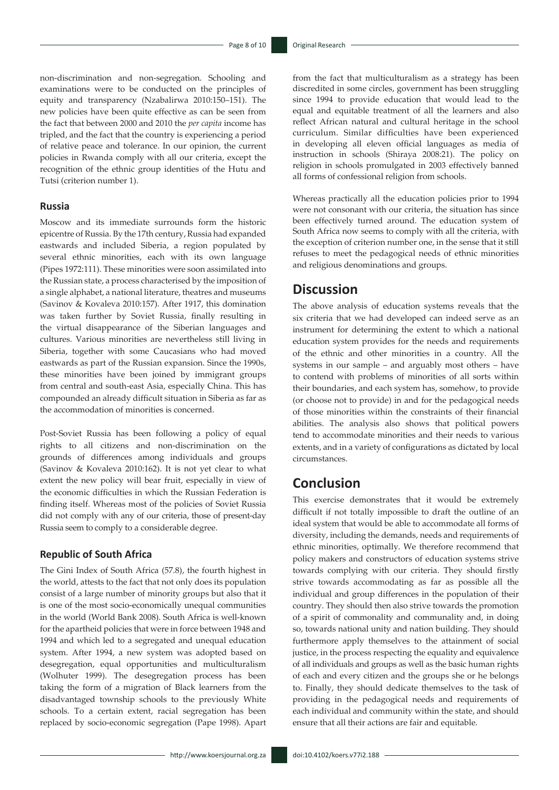non-discrimination and non-segregation. Schooling and examinations were to be conducted on the principles of equity and transparency (Nzabalirwa 2010:150–151). The new policies have been quite effective as can be seen from the fact that between 2000 and 2010 the *per capita* income has tripled, and the fact that the country is experiencing a period of relative peace and tolerance. In our opinion, the current policies in Rwanda comply with all our criteria, except the recognition of the ethnic group identities of the Hutu and Tutsi (criterion number 1).

#### **Russia**

Moscow and its immediate surrounds form the historic epicentre of Russia. By the 17th century, Russia had expanded eastwards and included Siberia, a region populated by several ethnic minorities, each with its own language (Pipes 1972:111). These minorities were soon assimilated into the Russian state, a process characterised by the imposition of a single alphabet, a national literature, theatres and museums (Savinov & Kovaleva 2010:157). After 1917, this domination was taken further by Soviet Russia, finally resulting in the virtual disappearance of the Siberian languages and cultures. Various minorities are nevertheless still living in Siberia, together with some Caucasians who had moved eastwards as part of the Russian expansion. Since the 1990s, these minorities have been joined by immigrant groups from central and south-east Asia, especially China. This has compounded an already difficult situation in Siberia as far as the accommodation of minorities is concerned.

Post-Soviet Russia has been following a policy of equal rights to all citizens and non-discrimination on the grounds of differences among individuals and groups (Savinov & Kovaleva 2010:162). It is not yet clear to what extent the new policy will bear fruit, especially in view of the economic difficulties in which the Russian Federation is finding itself. Whereas most of the policies of Soviet Russia did not comply with any of our criteria, those of present-day Russia seem to comply to a considerable degree.

#### **Republic of South Africa**

The Gini Index of South Africa (57.8), the fourth highest in the world, attests to the fact that not only does its population consist of a large number of minority groups but also that it is one of the most socio-economically unequal communities in the world (World Bank 2008). South Africa is well-known for the apartheid policies that were in force between 1948 and 1994 and which led to a segregated and unequal education system. After 1994, a new system was adopted based on desegregation, equal opportunities and multiculturalism (Wolhuter 1999). The desegregation process has been taking the form of a migration of Black learners from the disadvantaged township schools to the previously White schools. To a certain extent, racial segregation has been replaced by socio-economic segregation (Pape 1998). Apart

from the fact that multiculturalism as a strategy has been discredited in some circles, government has been struggling since 1994 to provide education that would lead to the equal and equitable treatment of all the learners and also reflect African natural and cultural heritage in the school curriculum. Similar difficulties have been experienced in developing all eleven official languages as media of instruction in schools (Shiraya 2008:21). The policy on religion in schools promulgated in 2003 effectively banned all forms of confessional religion from schools.

Whereas practically all the education policies prior to 1994 were not consonant with our criteria, the situation has since been effectively turned around. The education system of South Africa now seems to comply with all the criteria, with the exception of criterion number one, in the sense that it still refuses to meet the pedagogical needs of ethnic minorities and religious denominations and groups.

### **Discussion**

The above analysis of education systems reveals that the six criteria that we had developed can indeed serve as an instrument for determining the extent to which a national education system provides for the needs and requirements of the ethnic and other minorities in a country. All the systems in our sample – and arguably most others – have to contend with problems of minorities of all sorts within their boundaries, and each system has, somehow, to provide (or choose not to provide) in and for the pedagogical needs of those minorities within the constraints of their financial abilities. The analysis also shows that political powers tend to accommodate minorities and their needs to various extents, and in a variety of configurations as dictated by local circumstances.

# **Conclusion**

This exercise demonstrates that it would be extremely difficult if not totally impossible to draft the outline of an ideal system that would be able to accommodate all forms of diversity, including the demands, needs and requirements of ethnic minorities, optimally. We therefore recommend that policy makers and constructors of education systems strive towards complying with our criteria. They should firstly strive towards accommodating as far as possible all the individual and group differences in the population of their country. They should then also strive towards the promotion of a spirit of commonality and communality and, in doing so, towards national unity and nation building. They should furthermore apply themselves to the attainment of social justice, in the process respecting the equality and equivalence of all individuals and groups as well as the basic human rights of each and every citizen and the groups she or he belongs to. Finally, they should dedicate themselves to the task of providing in the pedagogical needs and requirements of each individual and community within the state, and should ensure that all their actions are fair and equitable.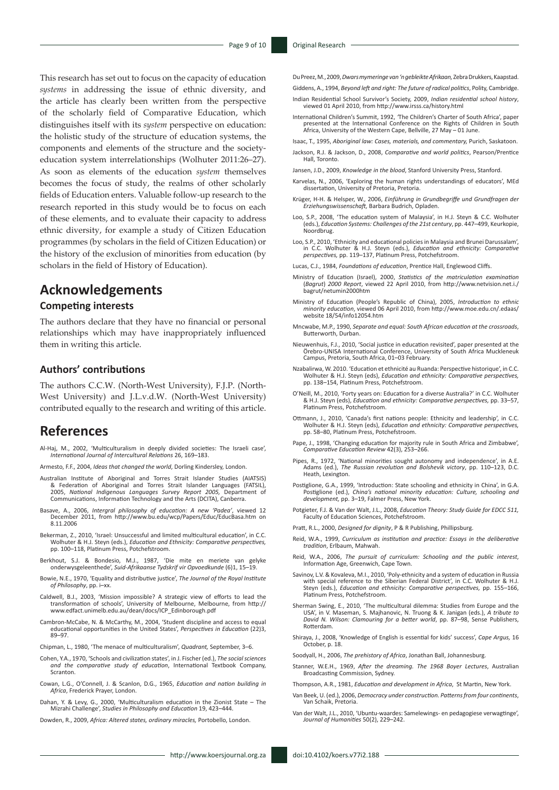This research has set out to focus on the capacity of education *systems* in addressing the issue of ethnic diversity, and the article has clearly been written from the perspective of the scholarly field of Comparative Education, which distinguishes itself with its *system* perspective on education: the holistic study of the structure of education systems, the components and elements of the structure and the societyeducation system interrelationships (Wolhuter 2011:26–27). As soon as elements of the education *system* themselves becomes the focus of study, the realms of other scholarly fields of Education enters. Valuable follow-up research to the research reported in this study would be to focus on each of these elements, and to evaluate their capacity to address ethnic diversity, for example a study of Citizen Education programmes (by scholars in the field of Citizen Education) or the history of the exclusion of minorities from education (by scholars in the field of History of Education).

### **Acknowledgements**

#### **Competing interests**

The authors declare that they have no financial or personal relationships which may have inappropriately influenced them in writing this article.

#### **Authors' contributions**

The authors C.C.W. (North-West University), F.J.P. (North-West University) and J.L.v.d.W. (North-West University) contributed equally to the research and writing of this article.

### **References**

- Al-Haj, M., 2002, 'Multiculturalism in deeply divided societies: The Israeli case', *International Journal of Intercultural Relations* 26, 169–183.
- Armesto, F.F., 2004, *Ideas that changed the world*, Dorling Kindersley, London.
- Australian Institute of Aboriginal and Torres Strait Islander Studies (AIATSIS) & Federation of Aboriginal and Torres Strait Islander Languages (FATSIL), 2005, *National Indigenous Languages Survey Report 2005,* Department of Communications, Information Technology and the Arts (DCITA), Canberra.
- Basave, A., 2006, *Intergral philosophy of education: A new 'Padea'*, viewed 12 December 2011, from [http://www.bu.edu/wcp/Papers/Educ/EducBasa.htm on](http://www.bu.edu/wcp/Papers/Educ/EducBasa.htm on 8.11.2006) [8.11.2006](http://www.bu.edu/wcp/Papers/Educ/EducBasa.htm on 8.11.2006)
- Bekerman, Z., 2010, 'Israel: Unsuccessful and limited multicultural education', in C.C. Wolhuter & H.J. Steyn (eds.), *Education and Ethnicity: Comparative perspectives,* pp. 100–118, Platinum Press, Potchefstroom.
- Berkhout, S.J. & Bondesio, M.J., 1987, 'Die mite en meriete van gelyke onderwysgeleenthede', *Suid-Afrikaanse Tydskrif vir Opvoedkunde* (6)1, 15–19.
- Bowie, N.E., 1970, 'Equality and distributive justice', *The Journal of the Royal Institute of Philosophy*, pp. i–xx.
- Caldwell, B.J., 2003, 'Mission impossible? A strategic view of efforts to lead the transformation of schools', University of Melbourne, Melbourne, from [http://](http:// www.edfact.unimelb.edu.au/dean/docs/ICP_Edinborough.pdf) [www.edfact.unimelb.edu.au/dean/docs/ICP\\_Edinborough.pdf](http:// www.edfact.unimelb.edu.au/dean/docs/ICP_Edinborough.pdf)
- Cambron-McCabe, N. & McCarthy, M., 2004, 'Student discipline and access to equal educational opportunities in the United States', *Perspectives in Education* (22)3, 89–97.
- Chipman, L., 1980, 'The menace of multiculturalism', *Quadrant,* September, 3–6.
- Cohen, Y.A., 1970, 'Schools and civilization states', in J. Fischer (ed.), *The social sciences and the comparative study of education*, International Textbook Company, Scranton.
- Cowan, L.G., O'Connell, J. & Scanlon, D.G., 1965, *Education and nation building in Africa*, Frederick Prayer, London.
- Dahan, Y. & Levy, G., 2000, 'Multiculturalism education in the Zionist State The Mizrahi Challenge', *Studies in Philosophy and Education* 19, 423–444.
- Dowden, R., 2009, *Africa: Altered states, ordinary miracles,* Portobello, London.

Du Preez, M., 2009, *Dwars mymeringe van 'n gebleikte Afrikaan,* Zebra Drukkers, Kaapstad.

- Giddens, A., 1994, *Beyond left and right: The future of radical politics*, Polity, Cambridge.
- Indian Residential School Survivor's Society, 2009, *Indian residential school history*, viewed 01 April 2010, from <http://www.irsss.ca/history.html>
- International Children's Summit, 1992, *'*The Children's Charter of South Africa', paper presented at the International Conference on the Rights of Children in South Africa, University of the Western Cape, Bellville, 27 May – 01 June.
- Isaac, T., 1995, *Aboriginal law: Cases, materials, and commentary,* Purich, Saskatoon.
- Jackson, R.J. & Jackson, D., 2008, *Comparative and world politics*, Pearson/Prentice Hall, Toronto.
- Jansen, J.D., 2009, *Knowledge in the blood*, Stanford University Press, Stanford.
- Karvelas, N., 2006, 'Exploring the human rights understandings of educators', MEd dissertation, University of Pretoria, Pretoria.
- Krüger, H-H. & Helsper, W., 2006, *Einführung in Grundbegriffe und Grundfragen der Erziehungswissenschaft,* Barbara Budrich, Opladen.
- Loo, S.P., 2008, 'The education system of Malaysia', in H.J. Steyn & C.C. Wolhuter (eds.), *Education Systems: Challenges of the 21st century*, pp. 447–499, Keurkopie, Noordbrug.
- Loo, S.P., 2010, 'Ethnicity and educational policies in Malaysia and Brunei Darussalam', in C.C. Wolhuter & H.J. Steyn (eds.), *Education and ethnicity: Comparative perspectives,* pp. 119–137, Platinum Press, Potchefstroom.
- Lucas, C.J., 1984, *Foundations of education*, Prentice Hall, Englewood Cliffs.
- Ministry of Education (Israel), 2000, *Statistics of the matriculation examination*  (*Bagrut*) *2000 Report*, viewed 22 April 2010, from http://www.netvision.net.i./ bagrut/netumin2000htm
- Ministry of Education (People's Republic of China), 2005, *Introduction to ethnic minority education*, viewed 06 April 2010, from http://www.moe.edu.cn/.edaas/ website 18/54/info12054.htm
- Mncwabe, M.P., 1990, *Separate and equal: South African education at the crossroads*, Butterworth, Durban.
- Nieuwenhuis, F.J., 2010, 'Social justice in education revisited', paper presented at the Örebro-UNISA International Conference, University of South Africa Muckleneuk Campus, Pretoria, South Africa, 01–03 February.
- Nzabalirwa, W. 2010. 'Education et ethnicité au Ruanda: Perspective historique', in C.C. Wolhuter & H.J. Steyn (eds), *Education and ethnicity: Comparative perspectives,*  pp. 138–154, Platinum Press, Potchefstroom.
- O'Neill, M., 2010, 'Forty years on: Education for a diverse Australia?' in C.C. Wolhuter & H.J. Steyn (eds), *Education and ethnicity: Comparative perspectives,* pp. 33–57, Platinum Press, Potchefstroom.
- Ottmann, J., 2010, 'Canada's first nations people: Ethnicity and leadership', in C.C. Wolhuter & H.J. Steyn (eds), *Education and ethnicity: Comparative perspectives,*  pp. 58–80, Platinum Press, Potchefstroom.
- Pape, J., 1998, 'Changing education for majority rule in South Africa and Zimbabwe', *Comparative Education Review* 42(3), 253–266.
- Pipes, R., 1972, 'National minorities sought autonomy and independence', in A.E. Adams (ed.), *The Russian revolution and Bolshevik victory*, pp. 110–123, D.C. Heath, Lexington.
- Postiglione, G.A., 1999, 'Introduction: State schooling and ethnicity in China', in G.A. Postiglione (ed.), *China's national minority education: Culture, schooling and development,* pp. 3–19, Falmer Press, New York.
- Potgieter, F.J. & Van der Walt, J.L., 2008, *Education Theory: Study Guide for EDCC 511,* Faculty of Education Sciences, Potchefstroom.
- Pratt, R.L., 2000, *Designed for dignity*, P & R Publishing, Phillipsburg.
- Reid, W.A., 1999, *Curriculum as institution and practice: Essays in the deliberative tradition*, Erlbaum, Mahwah.
- Reid, W.A., 2006, *The pursuit of curriculum: Schooling and the public interest*, Information Age, Greenwich, Cape Town.
- Savinov, L.V. & Kovaleva, M.I., 2010, 'Poly-ethnicity and a system of education in Russia with special reference to the Siberian Federal District', in C.C. Wolhuter & H.J. Steyn (eds.), *Education and ethnicity: Comparative perspectives,* pp. 155–166, Platinum Press, Potchefstroom.
- Sherman Swing, E., 2010, 'The multicultural dilemma: Studies from Europe and the USA', in V. Maseman, S. Majhanovic, N. Truong & K. Janigan (eds.), *A tribute to David N. Wilson: Clamouring for a better world*, pp. 87–98, Sense Publishers, Rotterdam.
- Shiraya, J., 2008, 'Knowledge of English is essential for kids' success', *Cape Argus,* 16 October, p. 18.
- Soodyall, H., 2006, *The prehistory of Africa*, Jonathan Ball, Johannesburg.
- Stanner, W.E.H., 1969, *After the dreaming. The 1968 Boyer Lectures*, Australian Broadcasting Commission, Sydney.
- Thompson, A.R., 1981, *Education and development in Africa*, St Martin, New York.
- Van Beek, U. (ed.), 2006, *Democracy under construction. Patterns from four continents*, Van Schaik, Pretoria.
- Van der Walt, J.L., 2010, 'Ubuntu-waardes: Samelewings- en pedagogiese verwagtinge', *Journal of Humanities* 50(2), 229–242.